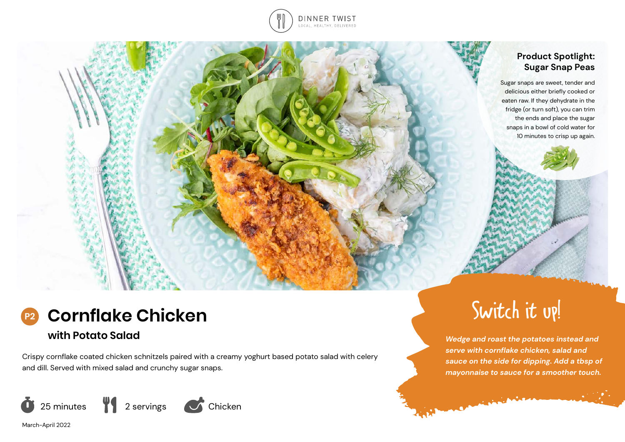

## **Product Spotlight: Sugar Snap Peas**

Sugar snaps are sweet, tender and delicious either briefly cooked or eaten raw. If they dehydrate in the fridge (or turn soft), you can trim the ends and place the sugar snaps in a bowl of cold water for 10 minutes to crisp up again.



## **with Potato Salad**

Crispy cornflake coated chicken schnitzels paired with a creamy yoghurt based potato salad with celery and dill. Served with mixed salad and crunchy sugar snaps.





# Switch it up!

*Wedge and roast the potatoes instead and serve with cornflake chicken, salad and sauce on the side for dipping. Add a tbsp of mayonnaise to sauce for a smoother touch.* 

**Contractor** 

**A**